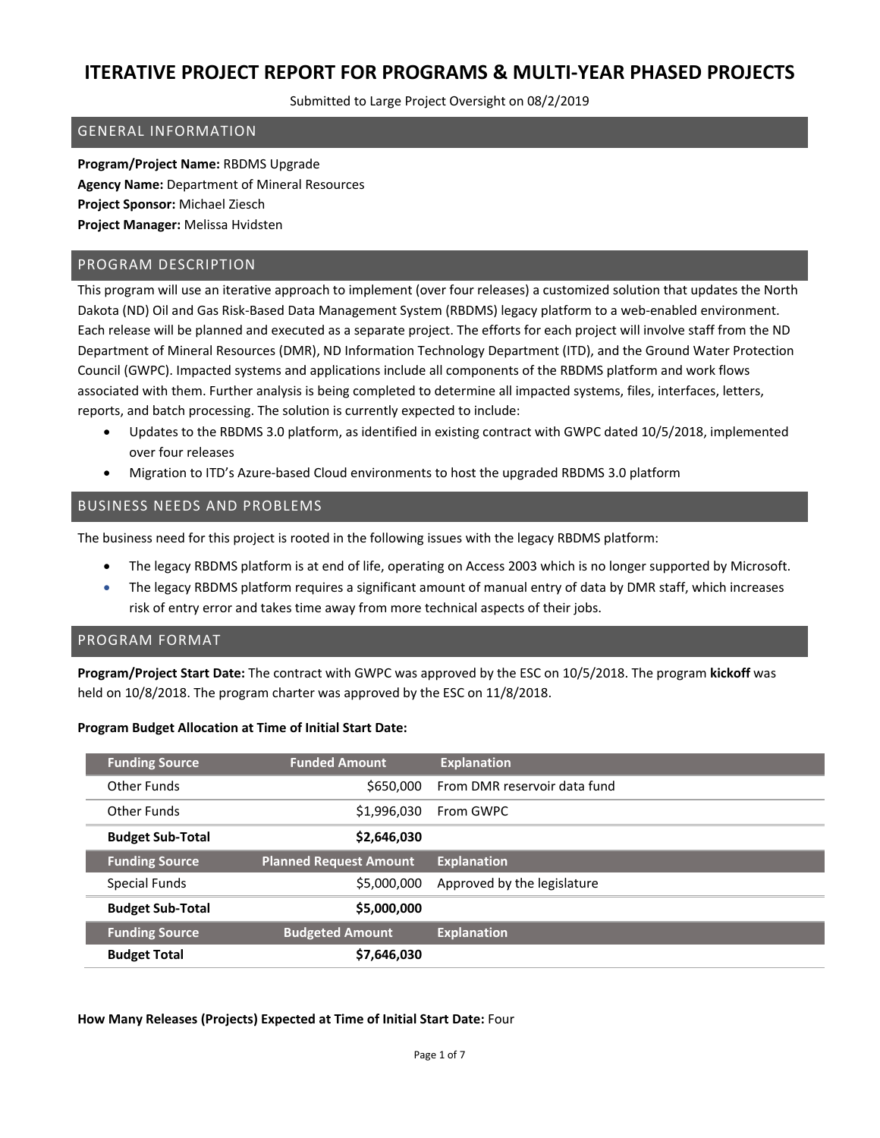Submitted to Large Project Oversight on 08/2/2019

### GENERAL INFORMATION

**Program/Project Name:** RBDMS Upgrade **Agency Name:** Department of Mineral Resources **Project Sponsor:** Michael Ziesch **Project Manager:** Melissa Hvidsten

### PROGRAM DESCRIPTION

This program will use an iterative approach to implement (over four releases) a customized solution that updates the North Dakota (ND) Oil and Gas Risk-Based Data Management System (RBDMS) legacy platform to a web-enabled environment. Each release will be planned and executed as a separate project. The efforts for each project will involve staff from the ND Department of Mineral Resources (DMR), ND Information Technology Department (ITD), and the Ground Water Protection Council (GWPC). Impacted systems and applications include all components of the RBDMS platform and work flows associated with them. Further analysis is being completed to determine all impacted systems, files, interfaces, letters, reports, and batch processing. The solution is currently expected to include:

- Updates to the RBDMS 3.0 platform, as identified in existing contract with GWPC dated 10/5/2018, implemented over four releases
- Migration to ITD's Azure-based Cloud environments to host the upgraded RBDMS 3.0 platform

### BUSINESS NEEDS AND PROBLEMS

The business need for this project is rooted in the following issues with the legacy RBDMS platform:

- The legacy RBDMS platform is at end of life, operating on Access 2003 which is no longer supported by Microsoft.
- The legacy RBDMS platform requires a significant amount of manual entry of data by DMR staff, which increases risk of entry error and takes time away from more technical aspects of their jobs.

#### PROGRAM FORMAT

**Program/Project Start Date:** The contract with GWPC was approved by the ESC on 10/5/2018. The program **kickoff** was held on 10/8/2018. The program charter was approved by the ESC on 11/8/2018.

#### **Program Budget Allocation at Time of Initial Start Date:**

| <b>Funding Source</b>   | <b>Funded Amount</b>          | <b>Explanation</b>           |
|-------------------------|-------------------------------|------------------------------|
| Other Funds             | \$650,000                     | From DMR reservoir data fund |
| Other Funds             | \$1,996,030                   | From GWPC                    |
| <b>Budget Sub-Total</b> | \$2,646,030                   |                              |
|                         |                               |                              |
| <b>Funding Source</b>   | <b>Planned Request Amount</b> | <b>Explanation</b>           |
| Special Funds           | \$5,000,000                   | Approved by the legislature  |
| <b>Budget Sub-Total</b> | \$5,000,000                   |                              |
| <b>Funding Source</b>   | <b>Budgeted Amount</b>        | <b>Explanation</b>           |

**How Many Releases (Projects) Expected at Time of Initial Start Date:** Four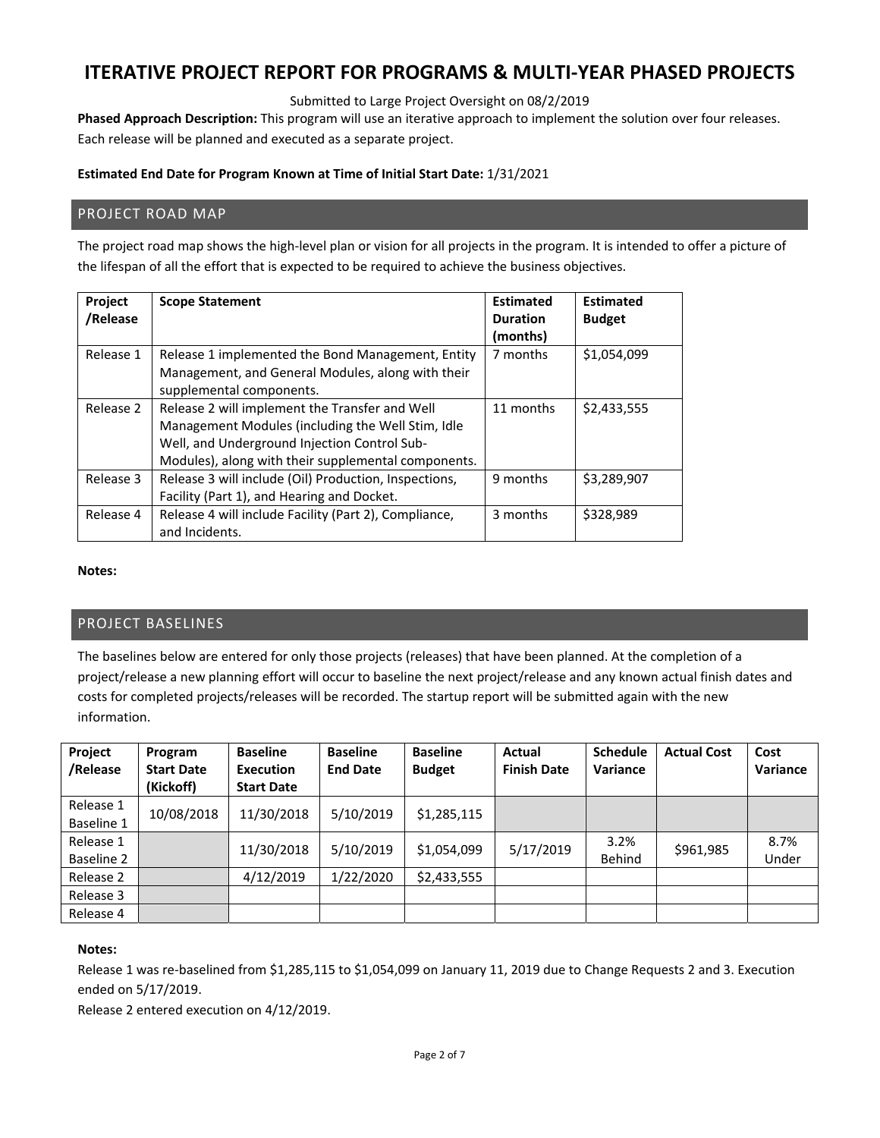Submitted to Large Project Oversight on 08/2/2019

**Phased Approach Description:** This program will use an iterative approach to implement the solution over four releases. Each release will be planned and executed as a separate project.

#### **Estimated End Date for Program Known at Time of Initial Start Date:** 1/31/2021

### PROJECT ROAD MAP

The project road map shows the high-level plan or vision for all projects in the program. It is intended to offer a picture of the lifespan of all the effort that is expected to be required to achieve the business objectives.

| Project<br>/Release | <b>Scope Statement</b>                                                                                                                                                                                     | <b>Estimated</b><br><b>Duration</b><br>(months) | <b>Estimated</b><br><b>Budget</b> |
|---------------------|------------------------------------------------------------------------------------------------------------------------------------------------------------------------------------------------------------|-------------------------------------------------|-----------------------------------|
| Release 1           | Release 1 implemented the Bond Management, Entity<br>Management, and General Modules, along with their<br>supplemental components.                                                                         | 7 months                                        | \$1,054,099                       |
| Release 2           | Release 2 will implement the Transfer and Well<br>Management Modules (including the Well Stim, Idle<br>Well, and Underground Injection Control Sub-<br>Modules), along with their supplemental components. | 11 months                                       | \$2,433,555                       |
| Release 3           | Release 3 will include (Oil) Production, Inspections,<br>Facility (Part 1), and Hearing and Docket.                                                                                                        | 9 months                                        | \$3,289,907                       |
| Release 4           | Release 4 will include Facility (Part 2), Compliance,<br>and Incidents.                                                                                                                                    | 3 months                                        | \$328,989                         |

#### **Notes:**

## PROJECT BASELINES

The baselines below are entered for only those projects (releases) that have been planned. At the completion of a project/release a new planning effort will occur to baseline the next project/release and any known actual finish dates and costs for completed projects/releases will be recorded. The startup report will be submitted again with the new information.

| Project<br>/Release | Program<br><b>Start Date</b> | <b>Baseline</b><br><b>Execution</b> | <b>Baseline</b><br><b>End Date</b> | <b>Baseline</b><br><b>Budget</b> | Actual<br><b>Finish Date</b> | <b>Schedule</b><br>Variance | <b>Actual Cost</b> | Cost<br>Variance |
|---------------------|------------------------------|-------------------------------------|------------------------------------|----------------------------------|------------------------------|-----------------------------|--------------------|------------------|
|                     | (Kickoff)                    | <b>Start Date</b>                   |                                    |                                  |                              |                             |                    |                  |
| Release 1           | 10/08/2018                   | 11/30/2018                          | 5/10/2019                          | \$1,285,115                      |                              |                             |                    |                  |
| Baseline 1          |                              |                                     |                                    |                                  |                              |                             |                    |                  |
| Release 1           |                              | 11/30/2018                          | 5/10/2019                          | \$1,054,099                      | 5/17/2019                    | 3.2%                        | \$961,985          | 8.7%             |
| Baseline 2          |                              |                                     |                                    |                                  |                              | Behind                      |                    | Under            |
| Release 2           |                              | 4/12/2019                           | 1/22/2020                          | \$2,433,555                      |                              |                             |                    |                  |
| Release 3           |                              |                                     |                                    |                                  |                              |                             |                    |                  |
| Release 4           |                              |                                     |                                    |                                  |                              |                             |                    |                  |

#### **Notes:**

Release 1 was re‐baselined from \$1,285,115 to \$1,054,099 on January 11, 2019 due to Change Requests 2 and 3. Execution ended on 5/17/2019.

Release 2 entered execution on 4/12/2019.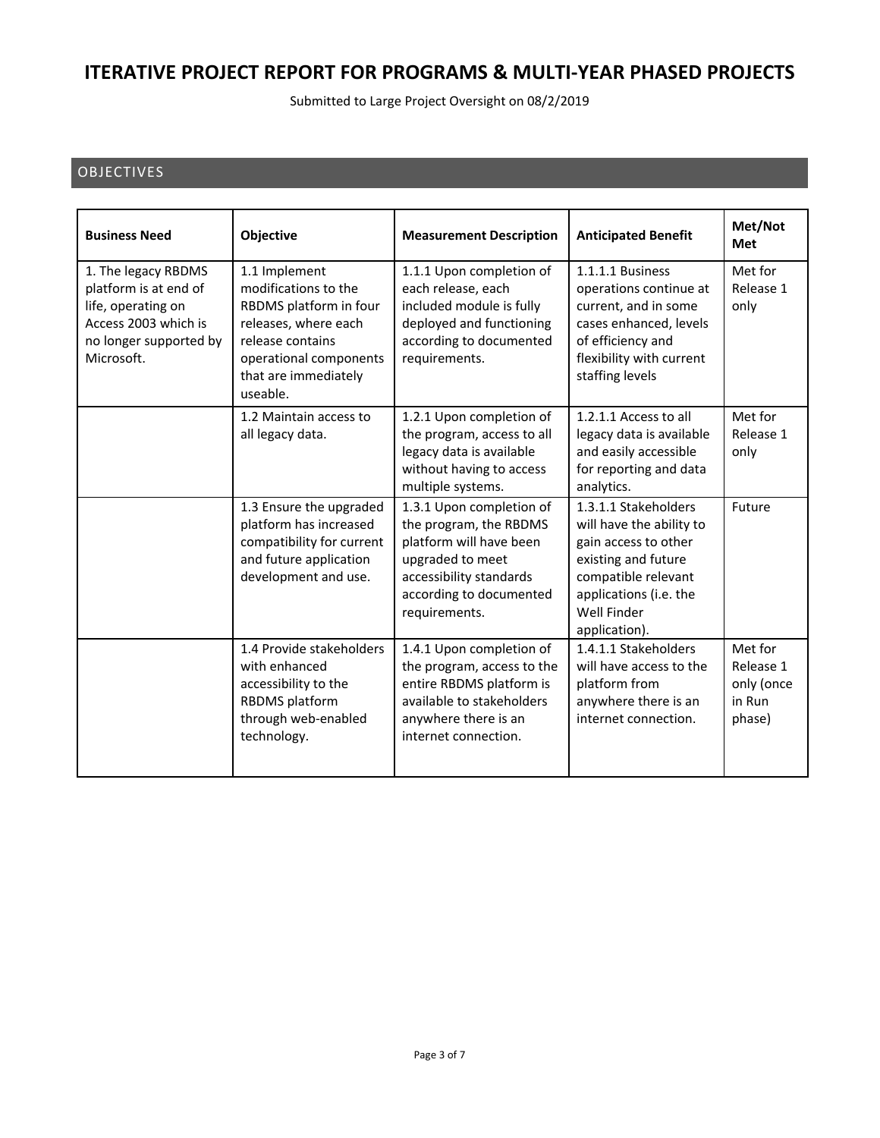Submitted to Large Project Oversight on 08/2/2019

## OBJECTIVES

| <b>Business Need</b>                                                                                                               | Objective                                                                                                                                                                 | <b>Measurement Description</b>                                                                                                                                           | <b>Anticipated Benefit</b>                                                                                                                                                       | Met/Not<br>Met                                         |
|------------------------------------------------------------------------------------------------------------------------------------|---------------------------------------------------------------------------------------------------------------------------------------------------------------------------|--------------------------------------------------------------------------------------------------------------------------------------------------------------------------|----------------------------------------------------------------------------------------------------------------------------------------------------------------------------------|--------------------------------------------------------|
| 1. The legacy RBDMS<br>platform is at end of<br>life, operating on<br>Access 2003 which is<br>no longer supported by<br>Microsoft. | 1.1 Implement<br>modifications to the<br>RBDMS platform in four<br>releases, where each<br>release contains<br>operational components<br>that are immediately<br>useable. | 1.1.1 Upon completion of<br>each release, each<br>included module is fully<br>deployed and functioning<br>according to documented<br>requirements.                       | 1.1.1.1 Business<br>operations continue at<br>current, and in some<br>cases enhanced, levels<br>of efficiency and<br>flexibility with current<br>staffing levels                 | Met for<br>Release 1<br>only                           |
|                                                                                                                                    | 1.2 Maintain access to<br>all legacy data.                                                                                                                                | 1.2.1 Upon completion of<br>the program, access to all<br>legacy data is available<br>without having to access<br>multiple systems.                                      | 1.2.1.1 Access to all<br>legacy data is available<br>and easily accessible<br>for reporting and data<br>analytics.                                                               | Met for<br>Release 1<br>only                           |
|                                                                                                                                    | 1.3 Ensure the upgraded<br>platform has increased<br>compatibility for current<br>and future application<br>development and use.                                          | 1.3.1 Upon completion of<br>the program, the RBDMS<br>platform will have been<br>upgraded to meet<br>accessibility standards<br>according to documented<br>requirements. | 1.3.1.1 Stakeholders<br>will have the ability to<br>gain access to other<br>existing and future<br>compatible relevant<br>applications (i.e. the<br>Well Finder<br>application). | Future                                                 |
|                                                                                                                                    | 1.4 Provide stakeholders<br>with enhanced<br>accessibility to the<br>RBDMS platform<br>through web-enabled<br>technology.                                                 | 1.4.1 Upon completion of<br>the program, access to the<br>entire RBDMS platform is<br>available to stakeholders<br>anywhere there is an<br>internet connection.          | 1.4.1.1 Stakeholders<br>will have access to the<br>platform from<br>anywhere there is an<br>internet connection.                                                                 | Met for<br>Release 1<br>only (once<br>in Run<br>phase) |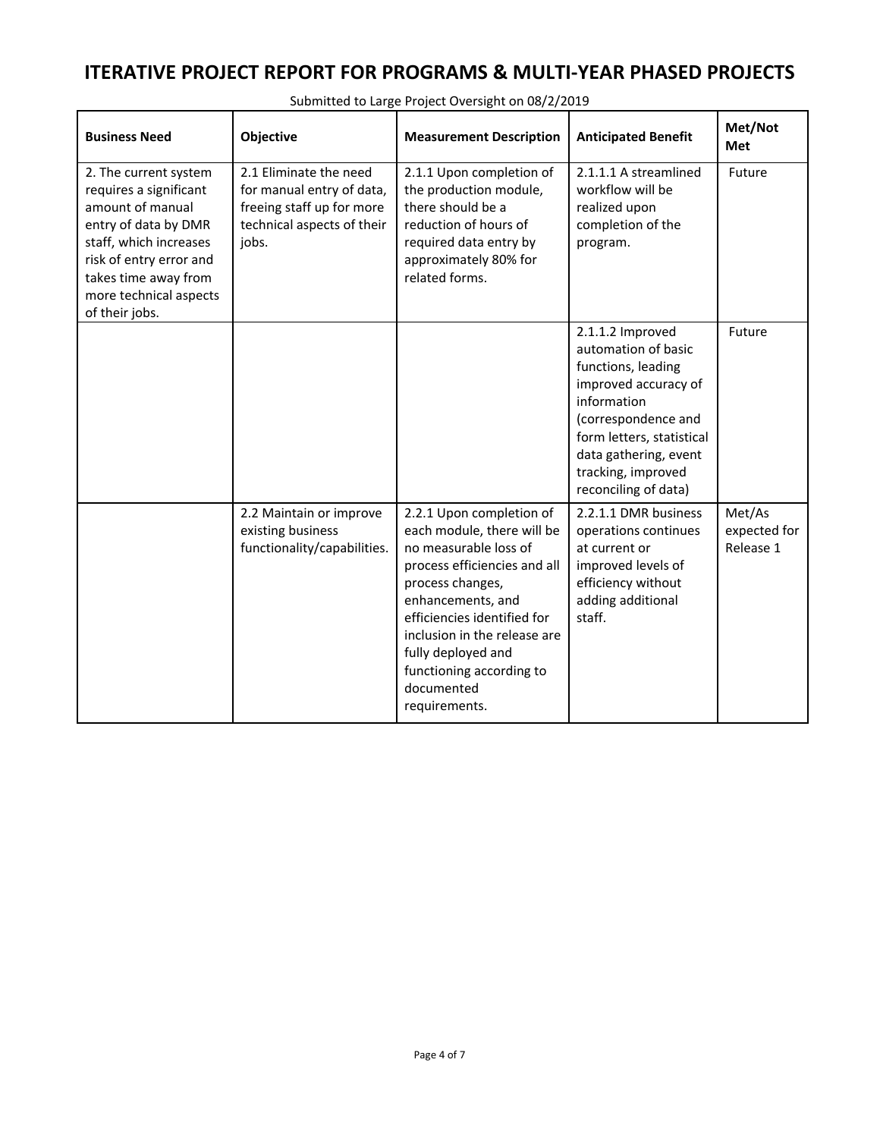| <b>Business Need</b>                                                                                                                                                                                                 | Objective                                                                                                               | <b>Measurement Description</b>                                                                                                                                                                                                                                                                           | <b>Anticipated Benefit</b>                                                                                                                                                                                                      | Met/Not<br>Met                      |
|----------------------------------------------------------------------------------------------------------------------------------------------------------------------------------------------------------------------|-------------------------------------------------------------------------------------------------------------------------|----------------------------------------------------------------------------------------------------------------------------------------------------------------------------------------------------------------------------------------------------------------------------------------------------------|---------------------------------------------------------------------------------------------------------------------------------------------------------------------------------------------------------------------------------|-------------------------------------|
| 2. The current system<br>requires a significant<br>amount of manual<br>entry of data by DMR<br>staff, which increases<br>risk of entry error and<br>takes time away from<br>more technical aspects<br>of their jobs. | 2.1 Eliminate the need<br>for manual entry of data,<br>freeing staff up for more<br>technical aspects of their<br>jobs. | 2.1.1 Upon completion of<br>the production module,<br>there should be a<br>reduction of hours of<br>required data entry by<br>approximately 80% for<br>related forms.                                                                                                                                    | 2.1.1.1 A streamlined<br>workflow will be<br>realized upon<br>completion of the<br>program.                                                                                                                                     | Future                              |
|                                                                                                                                                                                                                      |                                                                                                                         |                                                                                                                                                                                                                                                                                                          | 2.1.1.2 Improved<br>automation of basic<br>functions, leading<br>improved accuracy of<br>information<br>(correspondence and<br>form letters, statistical<br>data gathering, event<br>tracking, improved<br>reconciling of data) | Future                              |
|                                                                                                                                                                                                                      | 2.2 Maintain or improve<br>existing business<br>functionality/capabilities.                                             | 2.2.1 Upon completion of<br>each module, there will be<br>no measurable loss of<br>process efficiencies and all<br>process changes,<br>enhancements, and<br>efficiencies identified for<br>inclusion in the release are<br>fully deployed and<br>functioning according to<br>documented<br>requirements. | 2.2.1.1 DMR business<br>operations continues<br>at current or<br>improved levels of<br>efficiency without<br>adding additional<br>staff.                                                                                        | Met/As<br>expected for<br>Release 1 |

Submitted to Large Project Oversight on 08/2/2019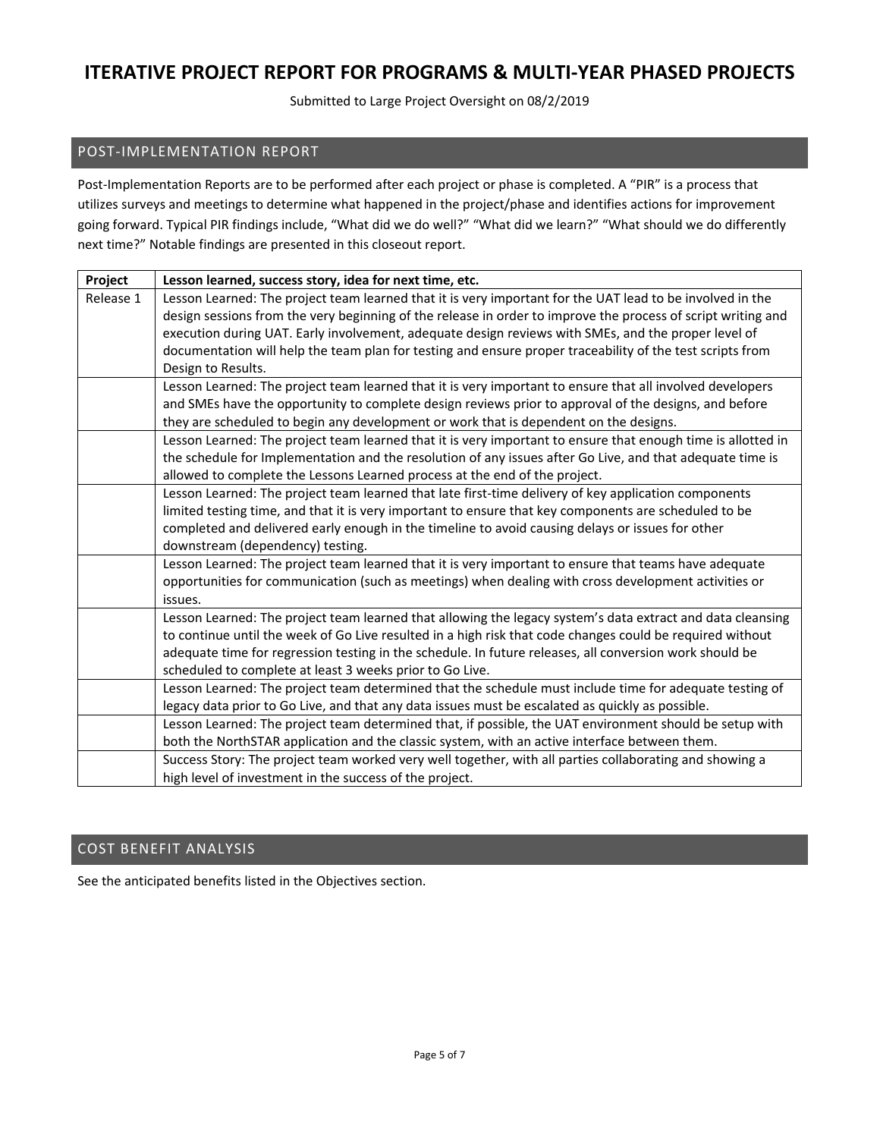Submitted to Large Project Oversight on 08/2/2019

## POST‐IMPLEMENTATION REPORT

Post-Implementation Reports are to be performed after each project or phase is completed. A "PIR" is a process that utilizes surveys and meetings to determine what happened in the project/phase and identifies actions for improvement going forward. Typical PIR findings include, "What did we do well?" "What did we learn?" "What should we do differently next time?" Notable findings are presented in this closeout report.

| Project   | Lesson learned, success story, idea for next time, etc.                                                      |
|-----------|--------------------------------------------------------------------------------------------------------------|
| Release 1 | Lesson Learned: The project team learned that it is very important for the UAT lead to be involved in the    |
|           | design sessions from the very beginning of the release in order to improve the process of script writing and |
|           | execution during UAT. Early involvement, adequate design reviews with SMEs, and the proper level of          |
|           | documentation will help the team plan for testing and ensure proper traceability of the test scripts from    |
|           | Design to Results.                                                                                           |
|           | Lesson Learned: The project team learned that it is very important to ensure that all involved developers    |
|           | and SMEs have the opportunity to complete design reviews prior to approval of the designs, and before        |
|           | they are scheduled to begin any development or work that is dependent on the designs.                        |
|           | Lesson Learned: The project team learned that it is very important to ensure that enough time is allotted in |
|           | the schedule for Implementation and the resolution of any issues after Go Live, and that adequate time is    |
|           | allowed to complete the Lessons Learned process at the end of the project.                                   |
|           | Lesson Learned: The project team learned that late first-time delivery of key application components         |
|           | limited testing time, and that it is very important to ensure that key components are scheduled to be        |
|           | completed and delivered early enough in the timeline to avoid causing delays or issues for other             |
|           | downstream (dependency) testing.                                                                             |
|           | Lesson Learned: The project team learned that it is very important to ensure that teams have adequate        |
|           | opportunities for communication (such as meetings) when dealing with cross development activities or         |
|           | issues.                                                                                                      |
|           | Lesson Learned: The project team learned that allowing the legacy system's data extract and data cleansing   |
|           | to continue until the week of Go Live resulted in a high risk that code changes could be required without    |
|           | adequate time for regression testing in the schedule. In future releases, all conversion work should be      |
|           | scheduled to complete at least 3 weeks prior to Go Live.                                                     |
|           | Lesson Learned: The project team determined that the schedule must include time for adequate testing of      |
|           | legacy data prior to Go Live, and that any data issues must be escalated as quickly as possible.             |
|           | Lesson Learned: The project team determined that, if possible, the UAT environment should be setup with      |
|           | both the NorthSTAR application and the classic system, with an active interface between them.                |
|           | Success Story: The project team worked very well together, with all parties collaborating and showing a      |
|           | high level of investment in the success of the project.                                                      |

## COST BENEFIT ANALYSIS

See the anticipated benefits listed in the Objectives section.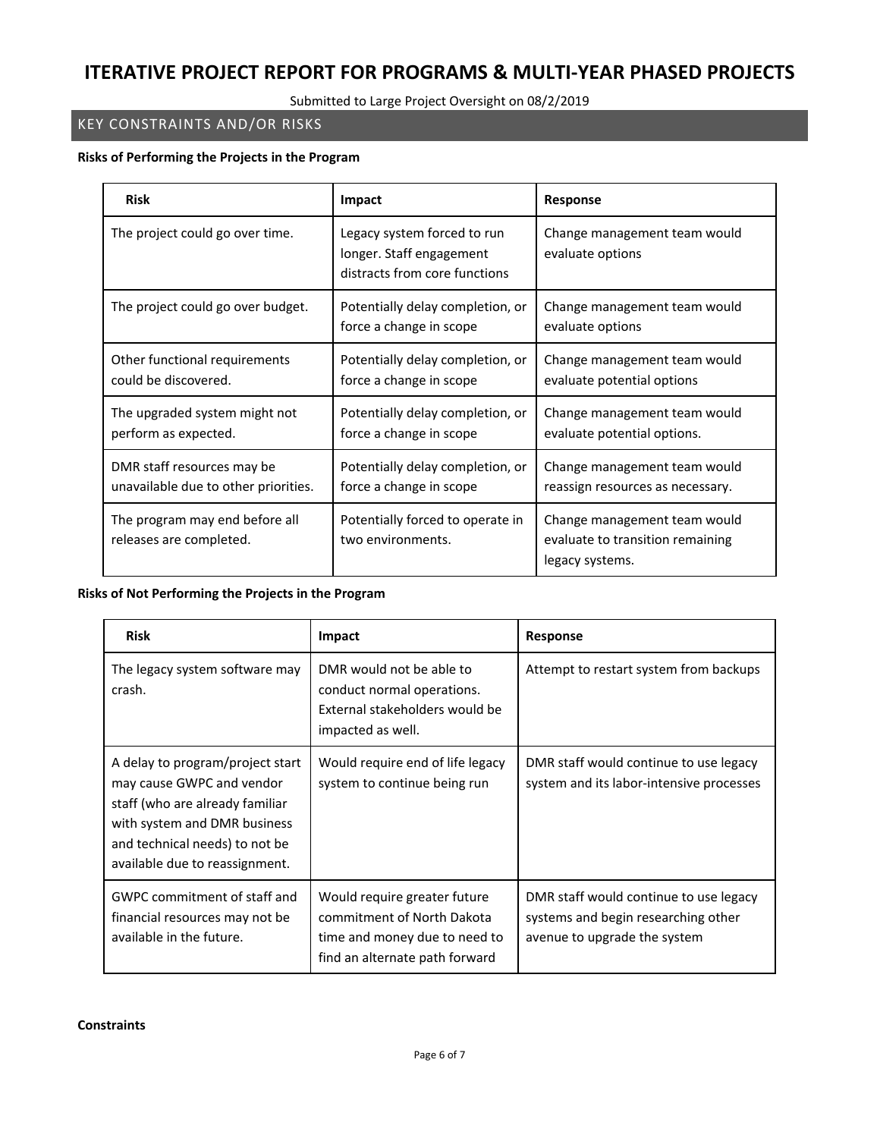Submitted to Large Project Oversight on 08/2/2019

## KEY CONSTRAINTS AND/OR RISKS

#### **Risks of Performing the Projects in the Program**

| <b>Risk</b>                                                        | Impact                                                                                   | <b>Response</b>                                                                     |
|--------------------------------------------------------------------|------------------------------------------------------------------------------------------|-------------------------------------------------------------------------------------|
| The project could go over time.                                    | Legacy system forced to run<br>longer. Staff engagement<br>distracts from core functions | Change management team would<br>evaluate options                                    |
| The project could go over budget.                                  | Potentially delay completion, or<br>force a change in scope                              | Change management team would<br>evaluate options                                    |
| Other functional requirements<br>could be discovered.              | Potentially delay completion, or<br>force a change in scope                              | Change management team would<br>evaluate potential options                          |
| The upgraded system might not<br>perform as expected.              | Potentially delay completion, or<br>force a change in scope                              | Change management team would<br>evaluate potential options.                         |
| DMR staff resources may be<br>unavailable due to other priorities. | Potentially delay completion, or<br>force a change in scope                              | Change management team would<br>reassign resources as necessary.                    |
| The program may end before all<br>releases are completed.          | Potentially forced to operate in<br>two environments.                                    | Change management team would<br>evaluate to transition remaining<br>legacy systems. |

## **Risks of Not Performing the Projects in the Program**

| <b>Risk</b>                                                                                                                                                                                          | Impact                                                                                                                        | Response                                                                                                      |
|------------------------------------------------------------------------------------------------------------------------------------------------------------------------------------------------------|-------------------------------------------------------------------------------------------------------------------------------|---------------------------------------------------------------------------------------------------------------|
| The legacy system software may<br>crash.                                                                                                                                                             | DMR would not be able to<br>conduct normal operations.<br>External stakeholders would be<br>impacted as well.                 | Attempt to restart system from backups                                                                        |
| A delay to program/project start<br>may cause GWPC and vendor<br>staff (who are already familiar<br>with system and DMR business<br>and technical needs) to not be<br>available due to reassignment. | Would require end of life legacy<br>system to continue being run                                                              | DMR staff would continue to use legacy<br>system and its labor-intensive processes                            |
| GWPC commitment of staff and<br>financial resources may not be<br>available in the future.                                                                                                           | Would require greater future<br>commitment of North Dakota<br>time and money due to need to<br>find an alternate path forward | DMR staff would continue to use legacy<br>systems and begin researching other<br>avenue to upgrade the system |